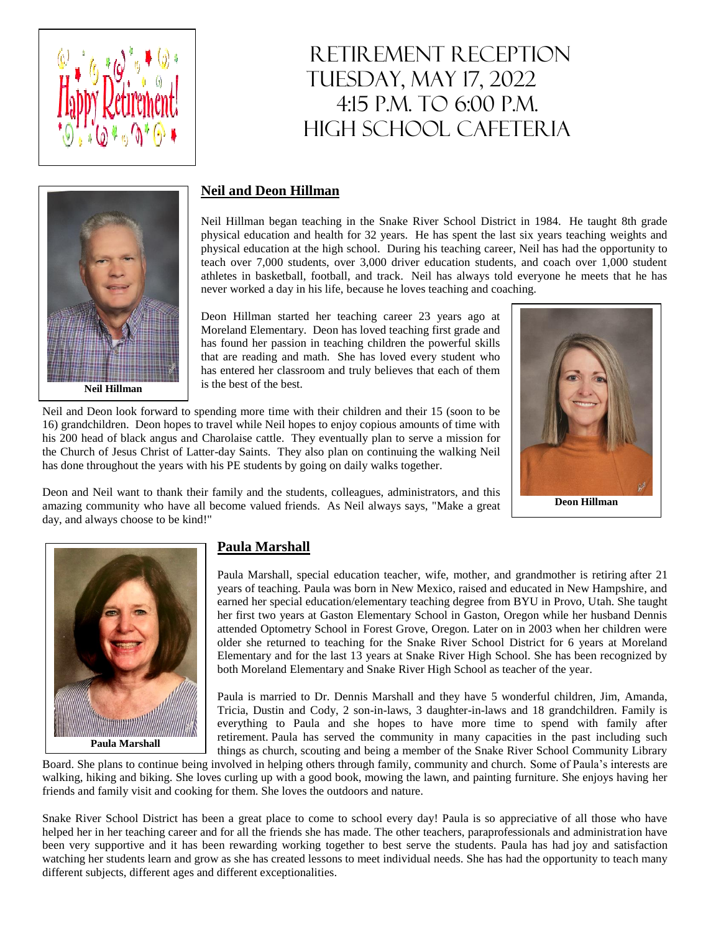

# RETIREMENT RECEPTION TUESDAY, MAY 17, 2022 4:15 p.m. to 6:00 p.m. HIGH SCHOOL CAFETERIA



#### **Neil and Deon Hillman**

Neil Hillman began teaching in the Snake River School District in 1984. He taught 8th grade physical education and health for 32 years. He has spent the last six years teaching weights and physical education at the high school. During his teaching career, Neil has had the opportunity to teach over 7,000 students, over 3,000 driver education students, and coach over 1,000 student athletes in basketball, football, and track. Neil has always told everyone he meets that he has never worked a day in his life, because he loves teaching and coaching.

Deon Hillman started her teaching career 23 years ago at Moreland Elementary. Deon has loved teaching first grade and has found her passion in teaching children the powerful skills that are reading and math. She has loved every student who has entered her classroom and truly believes that each of them is the best of the best.



Deon and Neil want to thank their family and the students, colleagues, administrators, and this amazing community who have all become valued friends. As Neil always says, "Make a great day, and always choose to be kind!"

has done throughout the years with his PE students by going on daily walks together.

Neil and Deon look forward to spending more time with their children and their 15 (soon to be 16) grandchildren. Deon hopes to travel while Neil hopes to enjoy copious amounts of time with his 200 head of black angus and Charolaise cattle. They eventually plan to serve a mission for the Church of Jesus Christ of Latter-day Saints. They also plan on continuing the walking Neil

**Paula Marshall**

## **Paula Marshall**

Paula Marshall, special education teacher, wife, mother, and grandmother is retiring after 21 years of teaching. Paula was born in New Mexico, raised and educated in New Hampshire, and earned her special education/elementary teaching degree from BYU in Provo, Utah. She taught her first two years at Gaston Elementary School in Gaston, Oregon while her husband Dennis attended Optometry School in Forest Grove, Oregon. Later on in 2003 when her children were older she returned to teaching for the Snake River School District for 6 years at Moreland Elementary and for the last 13 years at Snake River High School. She has been recognized by both Moreland Elementary and Snake River High School as teacher of the year.

Paula is married to Dr. Dennis Marshall and they have 5 wonderful children, Jim, Amanda, Tricia, Dustin and Cody, 2 son-in-laws, 3 daughter-in-laws and 18 grandchildren. Family is everything to Paula and she hopes to have more time to spend with family after retirement. Paula has served the community in many capacities in the past including such things as church, scouting and being a member of the Snake River School Community Library

Board. She plans to continue being involved in helping others through family, community and church. Some of Paula's interests are walking, hiking and biking. She loves curling up with a good book, mowing the lawn, and painting furniture. She enjoys having her friends and family visit and cooking for them. She loves the outdoors and nature.

Snake River School District has been a great place to come to school every day! Paula is so appreciative of all those who have helped her in her teaching career and for all the friends she has made. The other teachers, paraprofessionals and administration have been very supportive and it has been rewarding working together to best serve the students. Paula has had joy and satisfaction watching her students learn and grow as she has created lessons to meet individual needs. She has had the opportunity to teach many different subjects, different ages and different exceptionalities.